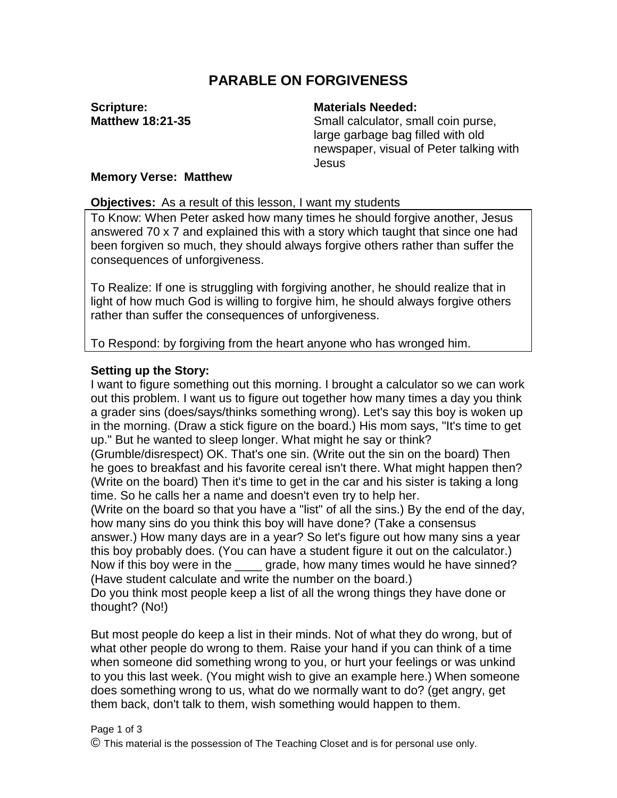# **PARABLE ON FORGIVENESS**

**Scripture: Matthew 18:21-35**

### **Materials Needed:**

Small calculator, small coin purse, large garbage bag filled with old newspaper, visual of Peter talking with Jesus

#### **Memory Verse: Matthew**

#### **Objectives:** As a result of this lesson, I want my students

To Know: When Peter asked how many times he should forgive another, Jesus answered 70 x 7 and explained this with a story which taught that since one had been forgiven so much, they should always forgive others rather than suffer the consequences of unforgiveness.

To Realize: If one is struggling with forgiving another, he should realize that in light of how much God is willing to forgive him, he should always forgive others rather than suffer the consequences of unforgiveness.

To Respond: by forgiving from the heart anyone who has wronged him.

## **Setting up the Story:**

I want to figure something out this morning. I brought a calculator so we can work out this problem. I want us to figure out together how many times a day you think a grader sins (does/says/thinks something wrong). Let's say this boy is woken up in the morning. (Draw a stick figure on the board.) His mom says, "It's time to get up." But he wanted to sleep longer. What might he say or think?

(Grumble/disrespect) OK. That's one sin. (Write out the sin on the board) Then he goes to breakfast and his favorite cereal isn't there. What might happen then? (Write on the board) Then it's time to get in the car and his sister is taking a long time. So he calls her a name and doesn't even try to help her.

(Write on the board so that you have a "list" of all the sins.) By the end of the day, how many sins do you think this boy will have done? (Take a consensus

answer.) How many days are in a year? So let's figure out how many sins a year this boy probably does. (You can have a student figure it out on the calculator.) Now if this boy were in the \_\_\_\_ grade, how many times would he have sinned? (Have student calculate and write the number on the board.)

Do you think most people keep a list of all the wrong things they have done or thought? (No!)

But most people do keep a list in their minds. Not of what they do wrong, but of what other people do wrong to them. Raise your hand if you can think of a time when someone did something wrong to you, or hurt your feelings or was unkind to you this last week. (You might wish to give an example here.) When someone does something wrong to us, what do we normally want to do? (get angry, get them back, don't talk to them, wish something would happen to them.

#### Page 1 of 3

© This material is the possession of The Teaching Closet and is for personal use only.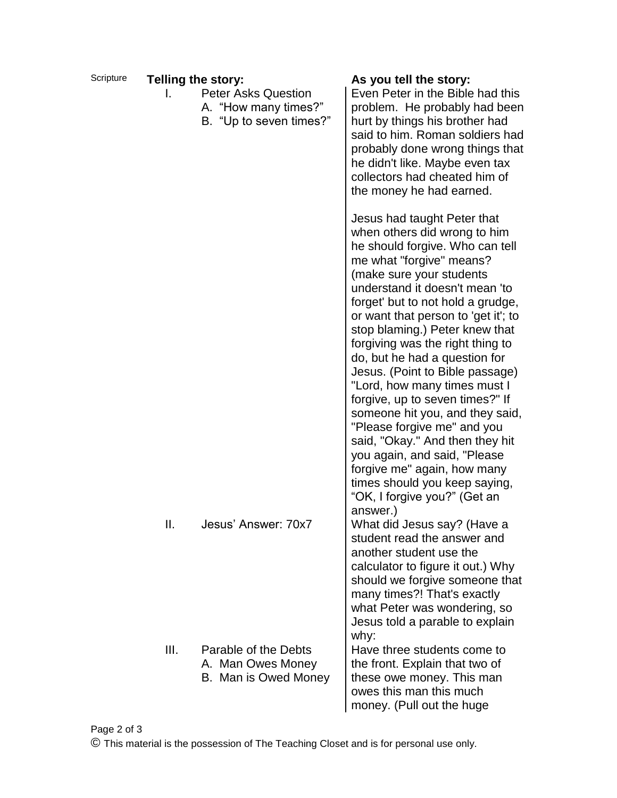| Scripture |      | Telling the story:                                                            | As you tell the story:                                                                                                                                                                                                                                                                                                                                                                                                                                                                                                                                                                                                                                                                                                             |
|-----------|------|-------------------------------------------------------------------------------|------------------------------------------------------------------------------------------------------------------------------------------------------------------------------------------------------------------------------------------------------------------------------------------------------------------------------------------------------------------------------------------------------------------------------------------------------------------------------------------------------------------------------------------------------------------------------------------------------------------------------------------------------------------------------------------------------------------------------------|
|           |      | <b>Peter Asks Question</b><br>A. "How many times?"<br>B. "Up to seven times?" | Even Peter in the Bible had this<br>problem. He probably had been<br>hurt by things his brother had<br>said to him. Roman soldiers had<br>probably done wrong things that<br>he didn't like. Maybe even tax<br>collectors had cheated him of<br>the money he had earned.                                                                                                                                                                                                                                                                                                                                                                                                                                                           |
|           |      |                                                                               | Jesus had taught Peter that<br>when others did wrong to him<br>he should forgive. Who can tell<br>me what "forgive" means?<br>(make sure your students<br>understand it doesn't mean 'to<br>forget' but to not hold a grudge,<br>or want that person to 'get it'; to<br>stop blaming.) Peter knew that<br>forgiving was the right thing to<br>do, but he had a question for<br>Jesus. (Point to Bible passage)<br>"Lord, how many times must I<br>forgive, up to seven times?" If<br>someone hit you, and they said,<br>"Please forgive me" and you<br>said, "Okay." And then they hit<br>you again, and said, "Please<br>forgive me" again, how many<br>times should you keep saying,<br>"OK, I forgive you?" (Get an<br>answer.) |
|           | Ш.   | Jesus' Answer: 70x7                                                           | What did Jesus say? (Have a<br>student read the answer and<br>another student use the<br>calculator to figure it out.) Why<br>should we forgive someone that<br>many times?! That's exactly<br>what Peter was wondering, so<br>Jesus told a parable to explain<br>why:                                                                                                                                                                                                                                                                                                                                                                                                                                                             |
|           | III. | Parable of the Debts<br>A. Man Owes Money<br>B. Man is Owed Money             | Have three students come to<br>the front. Explain that two of<br>these owe money. This man<br>owes this man this much<br>money. (Pull out the huge                                                                                                                                                                                                                                                                                                                                                                                                                                                                                                                                                                                 |